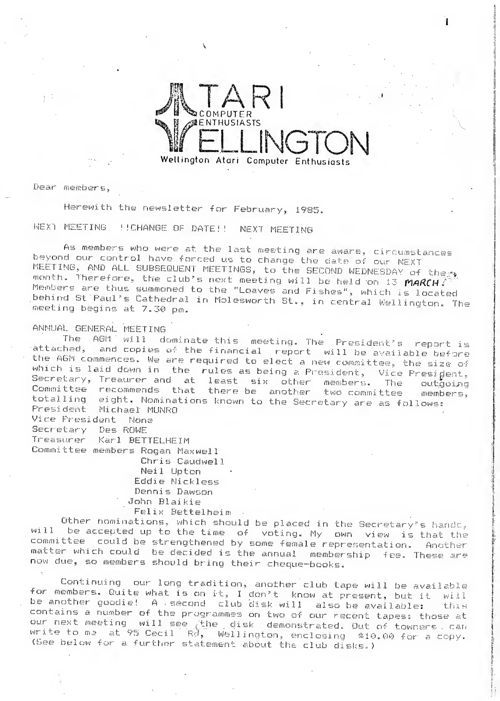

Dear members,

Herewith the newsletter for February, 1985.

next MEETING !!CHANGE OF BATE!! NEXT MEETING

As members who were at the last meeting are aware, circumstances beyond our control have forced us to change the date of our NEXT MEETING, AND ALL SUBSEQUENT MEETINGS, to the SECOND WEDNESDAY of there month. Therefore, the club's next meeting will be held on 13 MARCH. Members are thus summoned to the "Loaves and Fishes", which is located behind StiPaul's Cathedral in Molesworth St., in central Wellington. The meeting begins at 7.30 pm.

# ANNUAL. GENERAL MEET ING

The AGM will dominate this meeting. The President's report is attached. and conies of the financial wordth will be controlled. and copies of the financial report will be available before the AGM commences. We are required to elect a new committee, the size of which is laid down in the rules as being a President, Vice Presigent,  $S$ ecretary, Treaurer and at least six other members. The outgoing Committee recommends that there-be another two committee members, totalling eight. Nominations known to the Secretary are as follows: President Michael MUNRO<br>President Michael MUNRO President Michael MUNRO<br>Vice President None

Secretary Des ROWE

Karl BETTELHEIM

Committee members Rogan Maxwell Chris Caudwell Neil Upton Eddie Nickless Dennis Dawson John Blaikie

Felix Bettelheim .

Other nominations, which should be placed in the Secretary's hands, will be accepted up to the time of voting. My own view is that the committee; could be strengthened by some female representation. Another matter which could be decided is the annual membership fee. These are now due, so members should bring their cheque-books.

Continuing our long tradition, another'club tape will he available for members. Quite what is on it, I don't know at present, but it will be another goodie! <sup>A</sup> •second club disk will also be available: this contains a number of the programmes on two of our recent tapes: those at our next meeting will see the disk demonstrated. Out of towners can write to me at 95 Cecil  $Rd$ , Wellington, enclosing  $$10,00$  for a copy. (bee below for a further statement about, the club disks. )